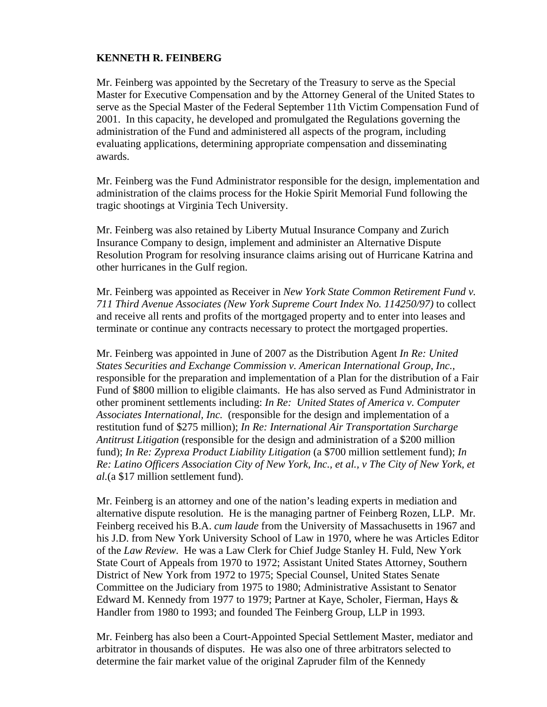## **KENNETH R. FEINBERG**

Mr. Feinberg was appointed by the Secretary of the Treasury to serve as the Special Master for Executive Compensation and by the Attorney General of the United States to serve as the Special Master of the Federal September 11th Victim Compensation Fund of 2001. In this capacity, he developed and promulgated the Regulations governing the administration of the Fund and administered all aspects of the program, including evaluating applications, determining appropriate compensation and disseminating awards.

Mr. Feinberg was the Fund Administrator responsible for the design, implementation and administration of the claims process for the Hokie Spirit Memorial Fund following the tragic shootings at Virginia Tech University.

Mr. Feinberg was also retained by Liberty Mutual Insurance Company and Zurich Insurance Company to design, implement and administer an Alternative Dispute Resolution Program for resolving insurance claims arising out of Hurricane Katrina and other hurricanes in the Gulf region.

Mr. Feinberg was appointed as Receiver in *New York State Common Retirement Fund v. 711 Third Avenue Associates (New York Supreme Court Index No. 114250/97)* to collect and receive all rents and profits of the mortgaged property and to enter into leases and terminate or continue any contracts necessary to protect the mortgaged properties.

Mr. Feinberg was appointed in June of 2007 as the Distribution Agent *In Re: United States Securities and Exchange Commission v. American International Group, Inc.,* responsible for the preparation and implementation of a Plan for the distribution of a Fair Fund of \$800 million to eligible claimants. He has also served as Fund Administrator in other prominent settlements including: *In Re: United States of America v. Computer Associates International, Inc.* (responsible for the design and implementation of a restitution fund of \$275 million); *In Re: International Air Transportation Surcharge Antitrust Litigation* (responsible for the design and administration of a \$200 million fund); *In Re: Zyprexa Product Liability Litigation* (a \$700 million settlement fund); *In Re: Latino Officers Association City of New York, Inc., et al., v The City of New York, et al.*(a \$17 million settlement fund).

Mr. Feinberg is an attorney and one of the nation's leading experts in mediation and alternative dispute resolution. He is the managing partner of Feinberg Rozen, LLP. Mr. Feinberg received his B.A. *cum laude* from the University of Massachusetts in 1967 and his J.D. from New York University School of Law in 1970, where he was Articles Editor of the *Law Review*. He was a Law Clerk for Chief Judge Stanley H. Fuld, New York State Court of Appeals from 1970 to 1972; Assistant United States Attorney, Southern District of New York from 1972 to 1975; Special Counsel, United States Senate Committee on the Judiciary from 1975 to 1980; Administrative Assistant to Senator Edward M. Kennedy from 1977 to 1979; Partner at Kaye, Scholer, Fierman, Hays & Handler from 1980 to 1993; and founded The Feinberg Group, LLP in 1993.

Mr. Feinberg has also been a Court-Appointed Special Settlement Master, mediator and arbitrator in thousands of disputes. He was also one of three arbitrators selected to determine the fair market value of the original Zapruder film of the Kennedy